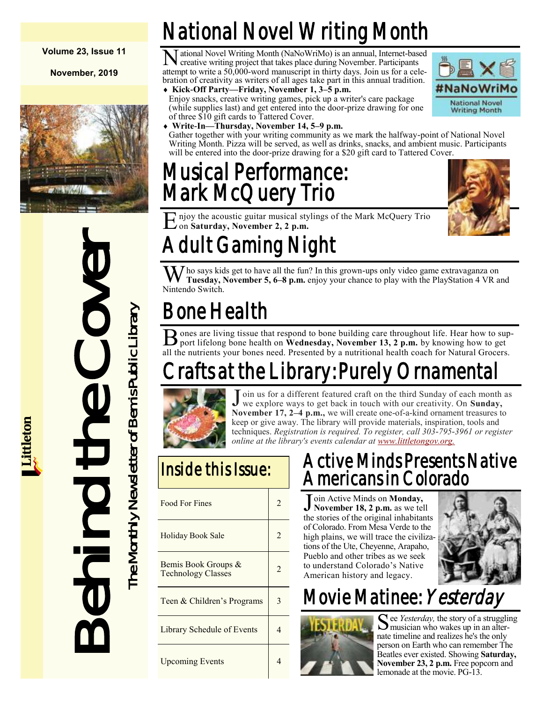#### **Volume 23, Issue 11**

**November, 2019**



Behind the Cover The Monthly Newsletter of Bemis Public Library The Monthly Newsletter of Bemis Public Library

# National Novel Writing Month

N ational Novel Writing Month (NaNoWriMo) is an annual, Internet-based creative writing project that takes place during November. Participants attempt to write a 50,000-word manuscript in thirty days. Join us for a celebration of creativity as writers of all ages take part in this annual tradition.

 **Kick-Off Party—Friday, November 1, 3–5 p.m.** Enjoy snacks, creative writing games, pick up a writer's care package (while supplies last) and get entered into the door-prize drawing for one



of three \$10 gift cards to Tattered Cover. **Write-In—Thursday, November 14, 5–9 p.m.** Gather together with your writing community as we mark the halfway-point of National Novel Writing Month. Pizza will be served, as well as drinks, snacks, and ambient music. Participants will be entered into the door-prize drawing for a \$20 gift card to Tattered Cover.

# Musical Performance: Mark McQuery Trio



E njoy the acoustic guitar musical stylings of the Mark McQuery Trio on Saturday, November 2, 2 p.m. on **Saturday, November 2, 2 p.m.**

# Adult Gaming Night

Who says kids get to have all the fun? In this grown-ups only video game extravaganza on Tuesday, November 5, 6–8 p.m. enjoy your chance to play with the PlayStation 4 VR and Nintendo Switch.

# Bone Health

B ones are living tissue that respond to bone building care throughout life. Hear how to support lifelong bone health on **Wednesday**, November 13, 2 p.m. by knowing how to get **O** ones are living tissue that respond to bone building care throughout life. Hear how to supall the nutrients your bones need. Presented by a nutritional health coach for Natural Grocers.

# rafts at the Library: Purely Ornamental



J oin us for a different featured craft on the third Sunday of each month we explore ways to get back in touch with our creativity. On **Sunday**, oin us for a different featured craft on the third Sunday of each month as **November 17, 2–4 p.m.,** we will create one-of-a-kind ornament treasures to keep or give away. The library will provide materials, inspiration, tools and techniques. *Registration is required. To register, call 303-795-3961 or register online at the library's events calendar at [www.littletongov.org.](https://www.littletongov.org/city-services/city-departments/bemis-library/library-events-calendar/-selcat-3/-curm-11/-cury-2019)*

## Inside this Issue:

| Food For Fines                                   | 2              |
|--------------------------------------------------|----------------|
| Holiday Book Sale                                |                |
| Bemis Book Groups &<br><b>Technology Classes</b> | $\mathfrak{D}$ |
| Teen & Children's Programs                       | 3              |
| Library Schedule of Events                       |                |
| <b>Upcoming Events</b>                           |                |

### Active Minds Presents Native Americans in Colorado

J oin Active Minds on **Monday**,<br>November 18, 2 p.m. as we tel **November 18, 2 p.m.** as we tell the stories of the original inhabitants of Colorado. From Mesa Verde to the high plains, we will trace the civilizations of the Ute, Cheyenne, Arapaho, Pueblo and other tribes as we seek to understand Colorado's Native American history and legacy.



# Movie Matinee: Yesterday



See *Yesterday*, the story of a struggling<br>musician who wakes up in an altermusician who wakes up in an alternate timeline and realizes he's the only person on Earth who can remember The Beatles ever existed. Showing **Saturday, November 23, 2 p.m.** Free popcorn and lemonade at the movie. PG-13.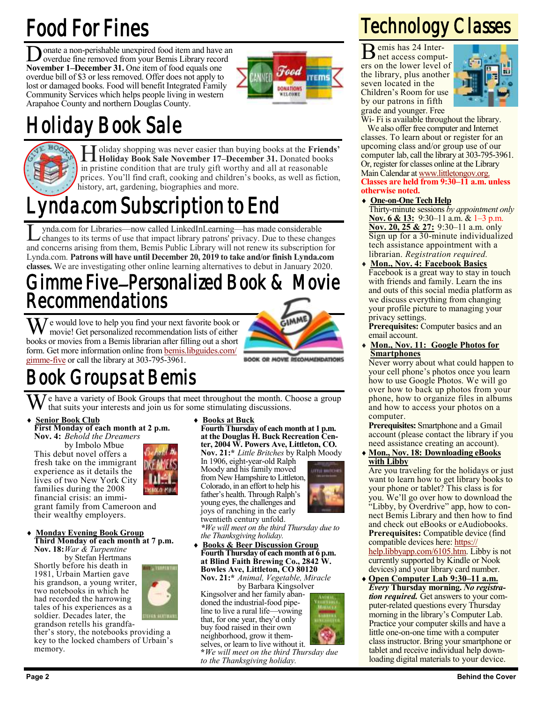# Food For Fines

Donate a non-perishable unexpired food item and have an overdue fine removed from your Bemis Library record onate a non-perishable unexpired food item and have an November 1–December 31. One item of food equals one overdue bill of \$3 or less removed. Offer does not apply to lost or damaged books. Food will benefit Integrated Family Community Services which helps people living in western Arapahoe County and northern Douglas County.



# Holiday Book Sale



H **Holiday Book Sale November 17–December 31.** Donated books oliday shopping was never easier than buying books at the **Friends'**  in pristine condition that are truly gift worthy and all at reasonable prices. You'll find craft, cooking and children's books, as well as fiction, history, art, gardening, biographies and more.

# Lynda.com Subscription to End

L ynda.com for Libraries—now called LinkedInLearning—has made considerable changes to its terms of use that impact library patrons' privacy. Due to these changes and concerns arising from them, Bemis Public Library will not renew its subscription for Lynda.com. **Patrons will have until December 20, 2019 to take and/or finish Lynda.com classes.** We are investigating other online learning alternatives to debut in January 2020.

### Gimme Five–Personalized Book & Movie Recommendations

We would love to help you find your next favorite book or movie! Get personalized recommendation lists of either books or movies from a Bemis librarian after filling out a short form. Get more information online from [bemis.libguides.com/](https://bemis.libguides.com/gimme-five) [gimme-five](https://bemis.libguides.com/gimme-five) or call the library at 303-795-3961.



BOOK OR MOVIE RECOMMENDATIO

# Book Groups at Bemis

We have a variety of Book Groups that meet throughout the month. Choose a group that suits your interests and join us for some stimulating discussions.

#### **Senior Book Club First Monday of each month at 2 p.m.**

**Nov. 4:** *Behold the Dreamers* by Imbolo Mbue This debut novel offers a fresh take on the immigrant experience as it details the lives of two New York City families during the 2008

financial crisis: an immigrant family from Cameroon and their wealthy employers.



#### **Monday Evening Book Group Third Monday of each month at 7 p.m.**

**Nov. 18:***War & Turpentine* by Stefan Hertmans Shortly before his death in 1981, Urbain Martien gave his grandson, a young writer, two notebooks in which he had recorded the harrowing tales of his experiences as a soldier. Decades later, the

grandson retells his grandfather's story, the notebooks providing a key to the locked chambers of Urbain's memory.

**Books at Buck**

**Fourth Thursday of each month at 1 p.m. at the Douglas H. Buck Recreation Center, 2004 W. Powers Ave, Littleton, CO. Nov. 21:\*** *Little Britches* by Ralph Moody

In 1906, eight-year-old Ralph Moody and his family moved from New Hampshire to Littleton, Colorado, in an effort to help his father's health. Through Ralph's young eyes, the challenges and joys of ranching in the early twentieth century unfold.



*\*We will meet on the third Thursday due to the Thanksgiving holiday.*

 **Books & Beer Discussion Group Fourth Thursday of each month at 6 p.m. at Blind Faith Brewing Co., 2842 W. Bowles Ave, Littleton, CO 80120 Nov. 21:\*** *Animal, Vegetable, Miracle*

by Barbara Kingsolver Kingsolver and her family abandoned the industrial-food pipeline to live a rural life—vowing that, for one year, they'd only buy food raised in their own neighborhood, grow it them-

selves, or learn to live without it. **\****We will meet on the third Thursday due to the Thanksgiving holiday.*

# Technology Classes

B emis has 24 Internet access computers on the lower level of the library, plus another seven located in the Children's Room for use by our patrons in fifth grade and younger. Free



W<sub>i</sub>- F<sub>i</sub> is available throughout the library. We also offer free computer and Internet

classes. To learn about or register for an upcoming class and/or group use of our computer lab, call the library at 303-795-3961. Or, register for classes online at the Library Main Calendar at [www.littletongov.org.](https://www.littletongov.org/city-services/city-departments/bemis-library/library-events-calendar/-selcat-157/-curm-11/-cury-2019) **Classes are held from 9:30–11 a.m. unless otherwise noted.**

#### **One-on-One Tech Help**

Thirty-minute sessions *by appointment only* **Nov. 6 & 13:** 9:30–11 a.m. & 1–3 p.m. **Nov. 20, 25 & 27:** 9:30–11 a.m. only Sign up for a 30-minute individualized tech assistance appointment with a librarian. *Registration required.*

 **Mon., Nov. 4: Facebook Basics** Facebook is a great way to stay in touch with friends and family. Learn the ins and outs of this social media platform as we discuss everything from changing your profile picture to managing your privacy settings.

**Prerequisites:** Computer basics and an email account.

 **Mon., Nov. 11: Google Photos for Smartphones**

Never worry about what could happen to your cell phone's photos once you learn how to use Google Photos. We will go over how to back up photos from your phone, how to organize files in albums and how to access your photos on a computer.

**Prerequisites:** Smartphone and a Gmail account (please contact the library if you need assistance creating an account).

 **Mon., Nov. 18: Downloading eBooks with Libby**

Are you traveling for the holidays or just want to learn how to get library books to your phone or tablet? This class is for you. We'll go over how to download the "Libby, by Overdrive" app, how to connect Bemis Library and then how to find and check out eBooks or eAudiobooks. **Prerequisites:** Compatible device (find compatible devices here: [https://](https://help.libbyapp.com/6105.htm) [help.libbyapp.com/6105.htm.](https://help.libbyapp.com/6105.htm) Libby is not currently supported by Kindle or Nook devices) and your library card number.

 **Open Computer Lab 9:30–11 a.m.** *Every* **Thursday morning.** *No registration required.* Get answers to your computer-related questions every Thursday morning in the library's Computer Lab. Practice your computer skills and have a little one-on-one time with a computer class instructor. Bring your smartphone or tablet and receive individual help downloading digital materials to your device.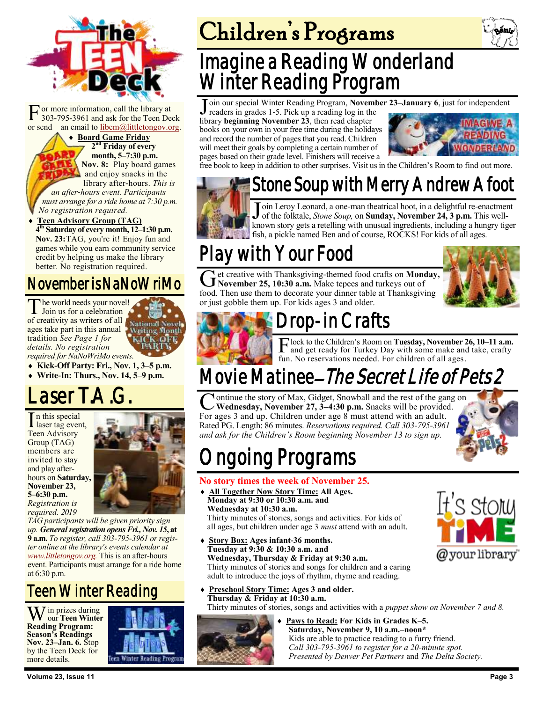

[F](https://bemis.libguides.com/teen-deck) or more information, call the library at 303-795-3961 and ask for the Teen Deck or send an email to [libem@littletongov.org.](mailto:libem@littletongov.org.)

 **Board Game Friday 2 nd Friday of every month, 5–7:30 p.m. Nov. 8:** Play board games and enjoy snacks in the library after-hours. *This is an after-hours event. Participants must arrange for a ride home at 7:30 p.m. No registration required.*

 **Teen Advisory Group (TAG) 4 th Saturday of every month, 12–1:30 p.m. Nov. 23:**TAG, you're it! Enjoy fun and games while you earn community service credit by helping us make the library better. No registration required.

### November is NaNoWriMo

The world needs your nove<br>Join us for a celebration he world needs your novel! of creativity as writers of all ages take part in this annual tradition *See Page 1 for details. No registration required for NaNoWriMo events.*

**Kick-Off Party: Fri., Nov. 1, 3–5 p.m.**

**Write-In: Thurs., Nov. 14, 5–9 p.m.**

## aser T.A.

In this special<br>laser tag even laser tag event, Teen Advisory Group (TAG) members are invited to stay and play afterhours on **Saturday, November 23, 5–6:30 p.m.** *Registration is required. 2019* 



*TAG participants will be given priority sign up.* General registration opens Fri., Nov. 15, at **9 a.m.** *To register, call 303-795-3961 or register online at the library's events calendar at [www.littletongov.org.](https://www.littletongov.org/city-services/city-departments/bemis-library/library-events-calendar/-curm-11/-cury-2019/-selcat-97)* This is an after-hours event. Participants must arrange for a ride home at 6:30 p.m.

### Teen Winter Reading

Win prizes during our **Teen Winter Reading Program: Season's Readings Nov. 23–Jan. 6.** Stop by the Teen Deck for more details.



# Children's Programs

## Imagine a Reading Wonderland Winter Reading Program

Join our special Winter Reading Program, **November 23–January 6**, just for independent readers in grades 1-5. Pick up a reading log in the

readers in grades 1-5. Pick up a reading log in the library **beginning November 23**, then read chapter books on your own in your free time during the holidays and record the number of pages that you read. Children will meet their goals by completing a certain number of pages based on their grade level. Finishers will receive a



free book to keep in addition to other surprises. Visit us in the Children's Room to find out more.

## Stone Soup with Merry Andrew Afoot



Join Leroy Leonard, a one-man theatrical hoot, in a delightful re-enactment<br>of the folktale, *Stone Soup*, on **Sunday, November 24, 3 p.m.** This well-<br>known story gets a retelling with unusual ingredients, including a hung oin Leroy Leonard, a one-man theatrical hoot, in a delightful re-enactment of the folktale, *Stone Soup,* on **Sunday, November 24, 3 p.m.** This wellfish, a pickle named Ben and of course, ROCKS! For kids of all ages.

## Play with Your Food

Get creative with Thanksgiving-themed food crafts on **Mond**<br>November 25, 10:30 a.m. Make tepees and turkeys out of et creative with Thanksgiving-themed food crafts on **Monday,**  food. Then use them to decorate your dinner table at Thanksgiving or just gobble them up. For kids ages 3 and older.





## Drop-in Crafts

F lock to the Children's Room on **Tuesday, November 26, 10–11 a.m.** and get ready for Turkey Day with some make and take, crafty fun. No reservations needed. For children of all ages.

# Movie Matinee– The Secret Life of Pets 2

 $\overline{\mathcal{C}}$ ontinue the story of Max, Gidget, Snowball and the rest of the gang on **Wednesday, November 27, 3–4:30 p.m.** Snacks will be provided. For ages 3 and up. Children under age 8 must attend with an adult. Rated PG. Length: 86 minutes. *Reservations required. Call 303-795-3961 and ask for the Children's Room beginning November 13 to sign up.*



Stolu

@your library

# ngoing Programs

#### **No story times the week of November 25.**

- **All Together Now Story Time: All Ages. Monday at 9:30 or 10:30 a.m. and Wednesday at 10:30 a.m.** Thirty minutes of stories, songs and activities. For kids of all ages, but children under age 3 *must* attend with an adult.
- **Story Box: Ages infant-36 months. Tuesday at 9:30 & 10:30 a.m. and Wednesday, Thursday & Friday at 9:30 a.m.** Thirty minutes of stories and songs for children and a caring adult to introduce the joys of rhythm, rhyme and reading.
- **Preschool Story Time: Ages 3 and older. Thursday & Friday at 10:30 a.m.**

Thirty minutes of stories, songs and activities with a *puppet show on November 7 and 8.*



 **Paws to Read: For Kids in Grades K–5. Saturday, November 9, 10 a.m.–noon\*** Kids are able to practice reading to a furry friend. *Call 303-795-3961 to register for a 20-minute spot. Presented by Denver Pet Partners* and *The Delta Society.*